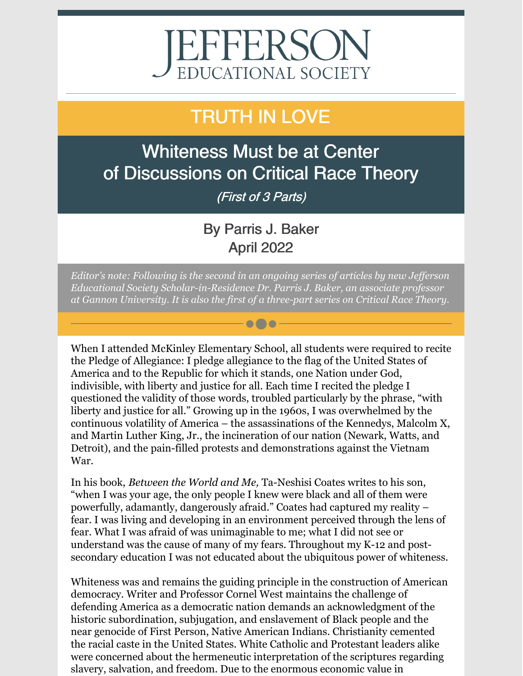# EFFERSON<br>EDUCATIONAL SOCIETY

## TRUTH IN LOVE

Whiteness Must be at Center of Discussions on Critical Race Theory (First of 3 Parts)

### By Parris J. Baker April 2022

*Editor's note: Following is the second in an ongoing series of articles by new Jef erson Educational Society Scholar-in-Residence Dr. Parris J. Baker, an associate professor at Gannon University. It is also the first of a three-part series on Critical Race Theory.*

 $\bullet\bullet\bullet$ 

When I attended McKinley Elementary School, all students were required to recite the Pledge of Allegiance: I pledge allegiance to the flag of the United States of America and to the Republic for which it stands, one Nation under God, indivisible, with liberty and justice for all. Each time I recited the pledge I questioned the validity of those words, troubled particularly by the phrase, "with liberty and justice for all." Growing up in the 1960s, I was overwhelmed by the continuous volatility of America – the assassinations of the Kennedys, Malcolm X, and Martin Luther King, Jr., the incineration of our nation (Newark, Watts, and Detroit), and the pain-filled protests and demonstrations against the Vietnam War.

In his book, *Between the World and Me,* Ta-Neshisi Coates writes to his son, "when I was your age, the only people I knew were black and all of them were powerfully, adamantly, dangerously afraid." Coates had captured my reality – fear. I was living and developing in an environment perceived through the lens of fear. What I was afraid of was unimaginable to me; what I did not see or understand was the cause of many of my fears. Throughout my K-12 and postsecondary education I was not educated about the ubiquitous power of whiteness.

Whiteness was and remains the guiding principle in the construction of American democracy. Writer and Professor Cornel West maintains the challenge of defending America as a democratic nation demands an acknowledgment of the historic subordination, subjugation, and enslavement of Black people and the near genocide of First Person, Native American Indians. Christianity cemented the racial caste in the United States. White Catholic and Protestant leaders alike were concerned about the hermeneutic interpretation of the scriptures regarding slavery, salvation, and freedom. Due to the enormous economic value in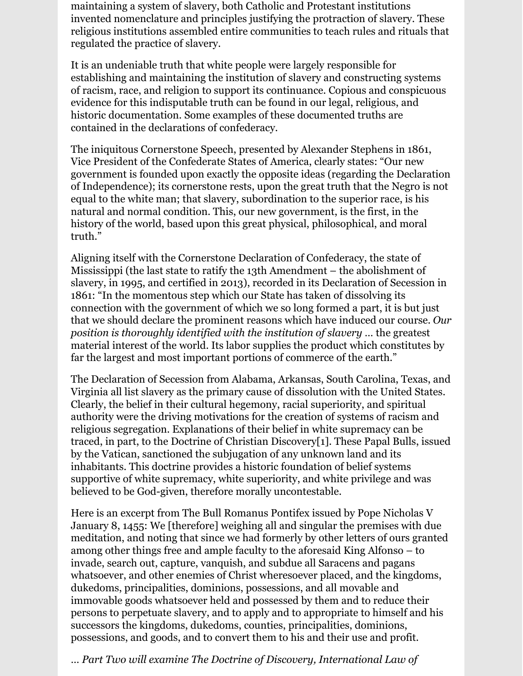maintaining a system of slavery, both Catholic and Protestant institutions invented nomenclature and principles justifying the protraction of slavery. These religious institutions assembled entire communities to teach rules and rituals that regulated the practice of slavery.

It is an undeniable truth that white people were largely responsible for establishing and maintaining the institution of slavery and constructing systems of racism, race, and religion to support its continuance. Copious and conspicuous evidence for this indisputable truth can be found in our legal, religious, and historic documentation. Some examples of these documented truths are contained in the declarations of confederacy.

The iniquitous Cornerstone Speech, presented by Alexander Stephens in 1861, Vice President of the Confederate States of America, clearly states: "Our new government is founded upon exactly the opposite ideas (regarding the Declaration of Independence); its cornerstone rests, upon the great truth that the Negro is not equal to the white man; that slavery, subordination to the superior race, is his natural and normal condition. This, our new government, is the first, in the history of the world, based upon this great physical, philosophical, and moral truth."

Aligning itself with the Cornerstone Declaration of Confederacy, the state of Mississippi (the last state to ratify the 13th Amendment – the abolishment of slavery, in 1995, and certified in 2013), recorded in its Declaration of Secession in 1861: "In the momentous step which our State has taken of dissolving its connection with the government of which we so long formed a part, it is but just that we should declare the prominent reasons which have induced our course. *Our position is thoroughly identified with the institution of slavery …* the greatest material interest of the world. Its labor supplies the product which constitutes by far the largest and most important portions of commerce of the earth."

The Declaration of Secession from Alabama, Arkansas, South Carolina, Texas, and Virginia all list slavery as the primary cause of dissolution with the United States. Clearly, the belief in their cultural hegemony, racial superiority, and spiritual authority were the driving motivations for the creation of systems of racism and religious segregation. Explanations of their belief in white supremacy can be traced, in part, to the Doctrine of Christian Discovery[1]. These Papal Bulls, issued by the Vatican, sanctioned the subjugation of any unknown land and its inhabitants. This doctrine provides a historic foundation of belief systems supportive of white supremacy, white superiority, and white privilege and was believed to be God-given, therefore morally uncontestable.

Here is an excerpt from The Bull Romanus Pontifex issued by Pope Nicholas V January 8, 1455: We [therefore] weighing all and singular the premises with due meditation, and noting that since we had formerly by other letters of ours granted among other things free and ample faculty to the aforesaid King Alfonso – to invade, search out, capture, vanquish, and subdue all Saracens and pagans whatsoever, and other enemies of Christ wheresoever placed, and the kingdoms, dukedoms, principalities, dominions, possessions, and all movable and immovable goods whatsoever held and possessed by them and to reduce their persons to perpetuate slavery, and to apply and to appropriate to himself and his successors the kingdoms, dukedoms, counties, principalities, dominions, possessions, and goods, and to convert them to his and their use and profit.

… *Part Two will examine The Doctrine of Discovery, International Law of*